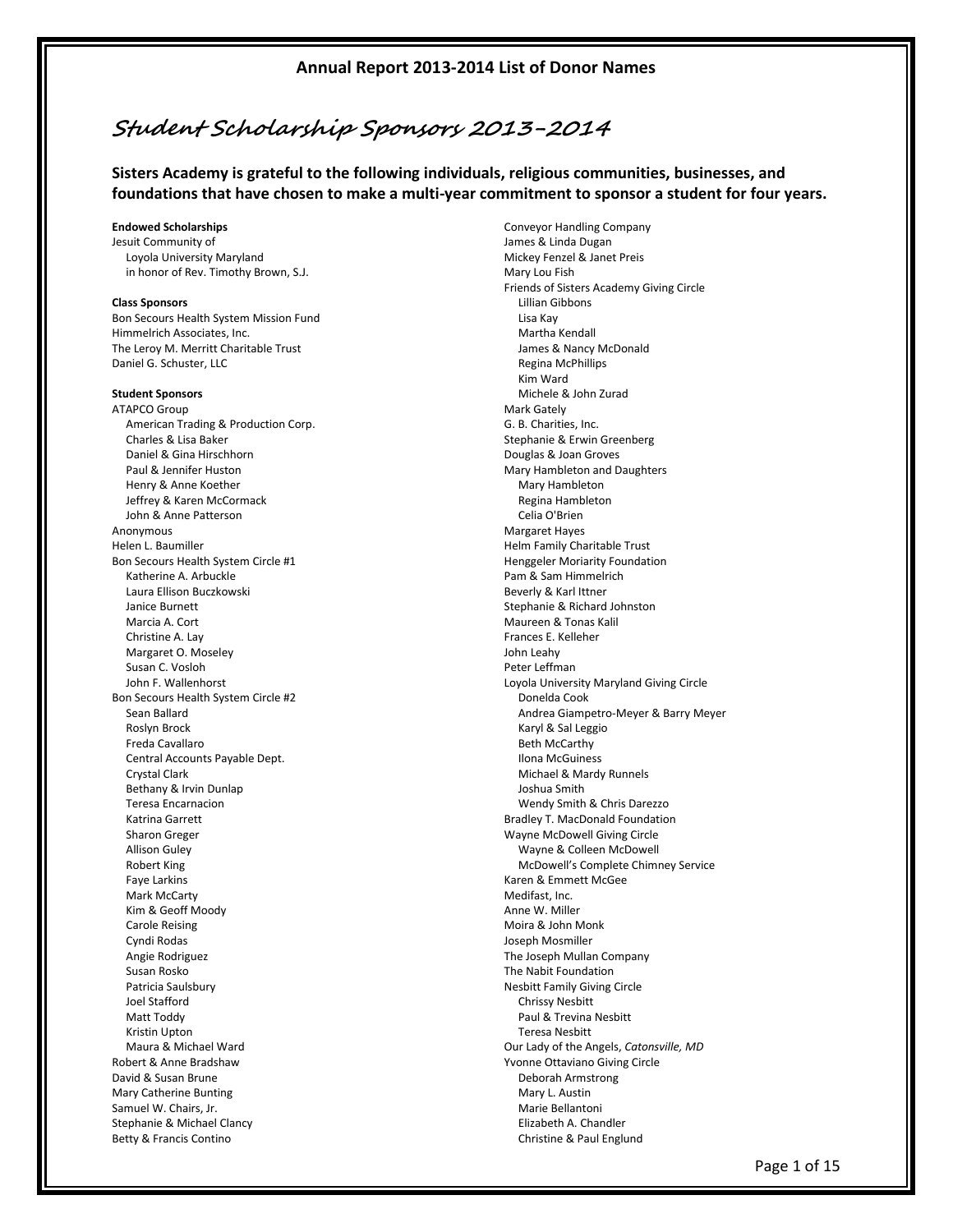# **Student Scholarship Sponsors 2013-2014**

**Sisters Academy is grateful to the following individuals, religious communities, businesses, and foundations that have chosen to make a multi-year commitment to sponsor a student for four years.**

#### **Endowed Scholarships**

Jesuit Community of Loyola University Maryland in honor of Rev. Timothy Brown, S.J.

#### **Class Sponsors**

Bon Secours Health System Mission Fund Himmelrich Associates, Inc. The Leroy M. Merritt Charitable Trust Daniel G. Schuster, LLC

#### **Student Sponsors**

ATAPCO Group American Trading & Production Corp. Charles & Lisa Baker Daniel & Gina Hirschhorn Paul & Jennifer Huston Henry & Anne Koether Jeffrey & Karen McCormack John & Anne Patterson Anonymous Helen L. Baumiller Bon Secours Health System Circle #1 Katherine A. Arbuckle Laura Ellison Buczkowski Janice Burnett Marcia A. Cort Christine A. Lay Margaret O. Moseley Susan C. Vosloh John F. Wallenhorst Bon Secours Health System Circle #2 Sean Ballard Roslyn Brock Freda Cavallaro Central Accounts Payable Dept. Crystal Clark Bethany & Irvin Dunlap Teresa Encarnacion Katrina Garrett Sharon Greger Allison Guley Robert King Faye Larkins Mark McCarty Kim & Geoff Moody Carole Reising Cyndi Rodas Angie Rodriguez Susan Rosko Patricia Saulsbury Joel Stafford Matt Toddy Kristin Upton Maura & Michael Ward Robert & Anne Bradshaw David & Susan Brune Mary Catherine Bunting Samuel W. Chairs, Jr. Stephanie & Michael Clancy Betty & Francis Contino

Conveyor Handling Company James & Linda Dugan Mickey Fenzel & Janet Preis Mary Lou Fish Friends of Sisters Academy Giving Circle Lillian Gibbons Lisa Kay Martha Kendall James & Nancy McDonald Regina McPhillips Kim Ward Michele & John Zurad Mark Gately G. B. Charities, Inc. Stephanie & Erwin Greenberg Douglas & Joan Groves Mary Hambleton and Daughters Mary Hambleton Regina Hambleton Celia O'Brien Margaret Hayes Helm Family Charitable Trust Henggeler Moriarity Foundation Pam & Sam Himmelrich Beverly & Karl Ittner Stephanie & Richard Johnston Maureen & Tonas Kalil Frances E. Kelleher John Leahy Peter Leffman Loyola University Maryland Giving Circle Donelda Cook Andrea Giampetro-Meyer & Barry Meyer Karyl & Sal Leggio Beth McCarthy Ilona McGuiness Michael & Mardy Runnels Joshua Smith Wendy Smith & Chris Darezzo Bradley T. MacDonald Foundation Wayne McDowell Giving Circle Wayne & Colleen McDowell McDowell's Complete Chimney Service Karen & Emmett McGee Medifast, Inc. Anne W. Miller Moira & John Monk Joseph Mosmiller The Joseph Mullan Company The Nabit Foundation Nesbitt Family Giving Circle Chrissy Nesbitt Paul & Trevina Nesbitt Teresa Nesbitt Our Lady of the Angels, *Catonsville, MD* Yvonne Ottaviano Giving Circle Deborah Armstrong Mary L. Austin Marie Bellantoni Elizabeth A. Chandler Christine & Paul Englund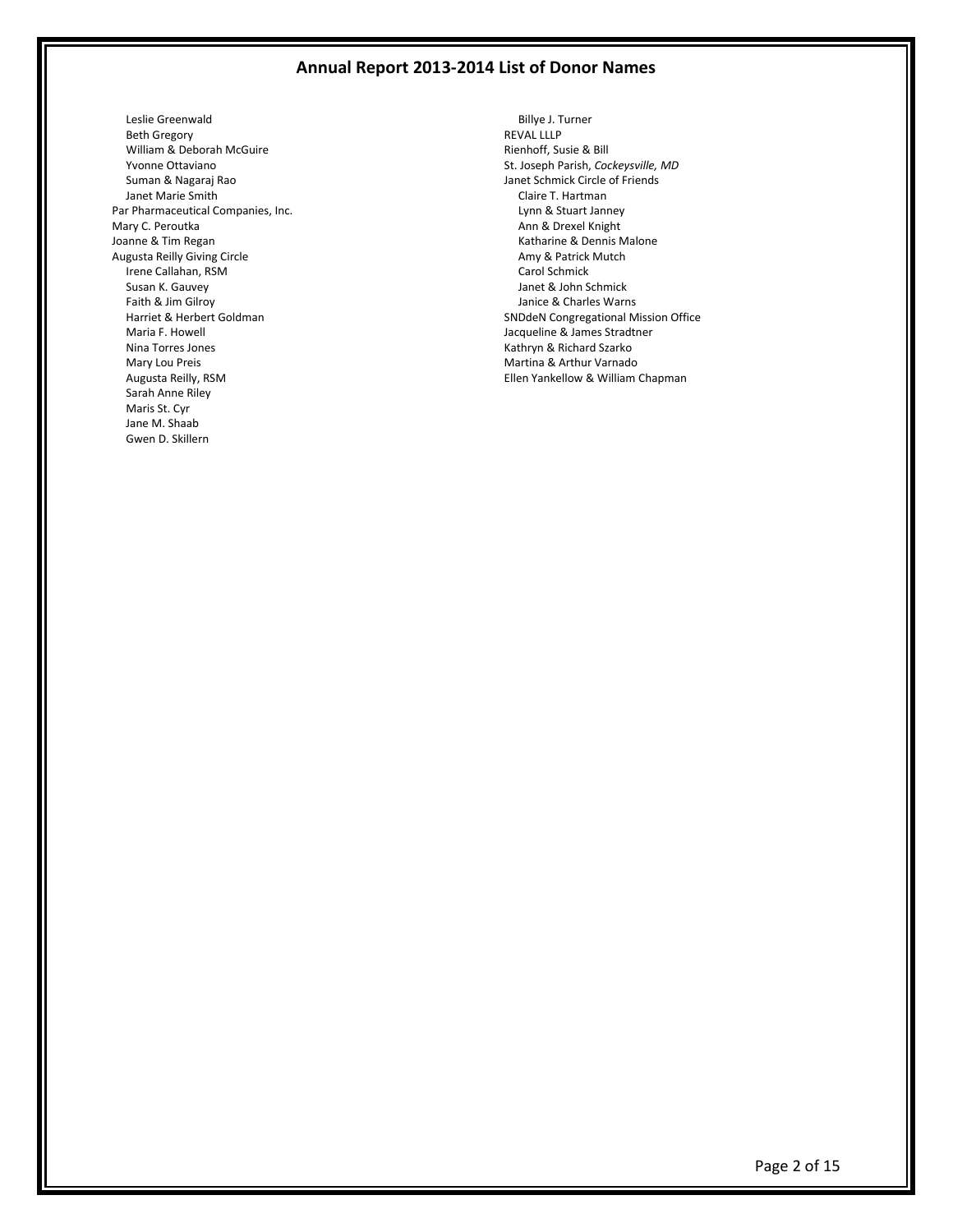Leslie Greenwald Beth Gregory William & Deborah McGuire Yvonne Ottaviano Suman & Nagaraj Rao Janet Marie Smith Par Pharmaceutical Companies, Inc. Mary C. Peroutka Joanne & Tim Regan Augusta Reilly Giving Circle Irene Callahan, RSM Susan K. Gauvey Faith & Jim Gilroy Harriet & Herbert Goldman Maria F. Howell Nina Torres Jones Mary Lou Preis Augusta Reilly, RSM Sarah Anne Riley Maris St. Cyr Jane M. Shaab Gwen D. Skillern

 Billye J. Turner REVAL LLLP Rienhoff, Susie & Bill St. Joseph Parish, *Cockeysville, MD* Janet Schmick Circle of Friends Claire T. Hartman Lynn & Stuart Janney Ann & Drexel Knight Katharine & Dennis Malone Amy & Patrick Mutch Carol Schmick Janet & John Schmick Janice & Charles Warns SNDdeN Congregational Mission Office Jacqueline & James Stradtner Kathryn & Richard Szarko Martina & Arthur Varnado Ellen Yankellow & William Chapman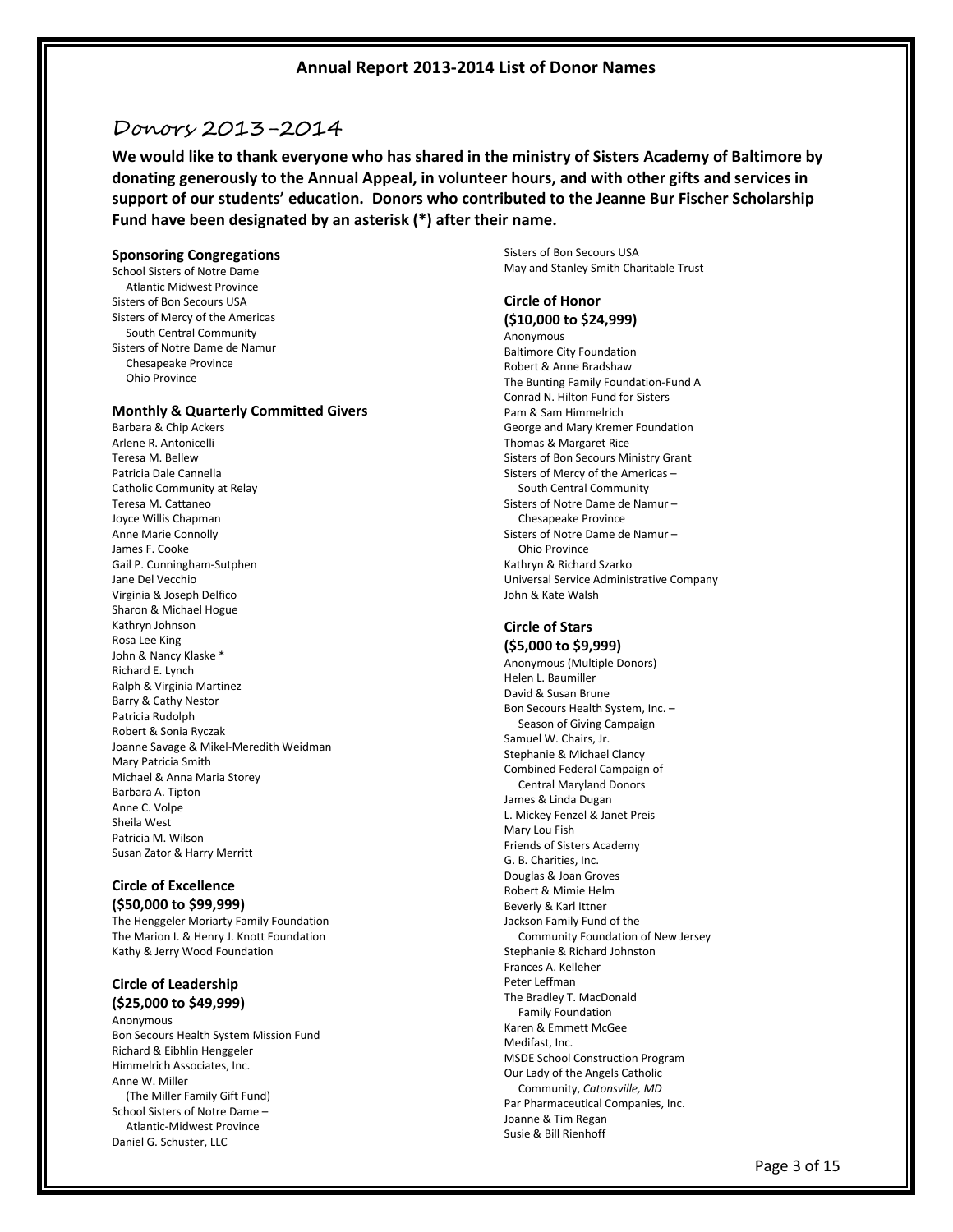# Donors 2013-2014

**We would like to thank everyone who has shared in the ministry of Sisters Academy of Baltimore by donating generously to the Annual Appeal, in volunteer hours, and with other gifts and services in support of our students' education. Donors who contributed to the Jeanne Bur Fischer Scholarship Fund have been designated by an asterisk (\*) after their name.**

#### **Sponsoring Congregations**

School Sisters of Notre Dame Atlantic Midwest Province Sisters of Bon Secours USA Sisters of Mercy of the Americas South Central Community Sisters of Notre Dame de Namur Chesapeake Province Ohio Province

## **Monthly & Quarterly Committed Givers**

Barbara & Chip Ackers Arlene R. Antonicelli Teresa M. Bellew Patricia Dale Cannella Catholic Community at Relay Teresa M. Cattaneo Joyce Willis Chapman Anne Marie Connolly James F. Cooke Gail P. Cunningham-Sutphen Jane Del Vecchio Virginia & Joseph Delfico Sharon & Michael Hogue Kathryn Johnson Rosa Lee King John & Nancy Klaske \* Richard E. Lynch Ralph & Virginia Martinez Barry & Cathy Nestor Patricia Rudolph Robert & Sonia Ryczak Joanne Savage & Mikel-Meredith Weidman Mary Patricia Smith Michael & Anna Maria Storey Barbara A. Tipton Anne C. Volpe Sheila West Patricia M. Wilson Susan Zator & Harry Merritt

## **Circle of Excellence**

**(\$50,000 to \$99,999)** The Henggeler Moriarty Family Foundation The Marion I. & Henry J. Knott Foundation Kathy & Jerry Wood Foundation

## **Circle of Leadership (\$25,000 to \$49,999)**

Anonymous Bon Secours Health System Mission Fund Richard & Eibhlin Henggeler Himmelrich Associates, Inc. Anne W. Miller (The Miller Family Gift Fund) School Sisters of Notre Dame – Atlantic-Midwest Province Daniel G. Schuster, LLC

Sisters of Bon Secours USA May and Stanley Smith Charitable Trust

## **Circle of Honor (\$10,000 to \$24,999)**

Anonymous Baltimore City Foundation Robert & Anne Bradshaw The Bunting Family Foundation-Fund A Conrad N. Hilton Fund for Sisters Pam & Sam Himmelrich George and Mary Kremer Foundation Thomas & Margaret Rice Sisters of Bon Secours Ministry Grant Sisters of Mercy of the Americas – South Central Community Sisters of Notre Dame de Namur – Chesapeake Province Sisters of Notre Dame de Namur – Ohio Province Kathryn & Richard Szarko Universal Service Administrative Company John & Kate Walsh

### **Circle of Stars (\$5,000 to \$9,999)**

Anonymous (Multiple Donors) Helen L. Baumiller David & Susan Brune Bon Secours Health System, Inc. – Season of Giving Campaign Samuel W. Chairs, Jr. Stephanie & Michael Clancy Combined Federal Campaign of Central Maryland Donors James & Linda Dugan L. Mickey Fenzel & Janet Preis Mary Lou Fish Friends of Sisters Academy G. B. Charities, Inc. Douglas & Joan Groves Robert & Mimie Helm Beverly & Karl Ittner Jackson Family Fund of the Community Foundation of New Jersey Stephanie & Richard Johnston Frances A. Kelleher Peter Leffman The Bradley T. MacDonald Family Foundation Karen & Emmett McGee Medifast, Inc. MSDE School Construction Program Our Lady of the Angels Catholic Community, *Catonsville, MD* Par Pharmaceutical Companies, Inc. Joanne & Tim Regan Susie & Bill Rienhoff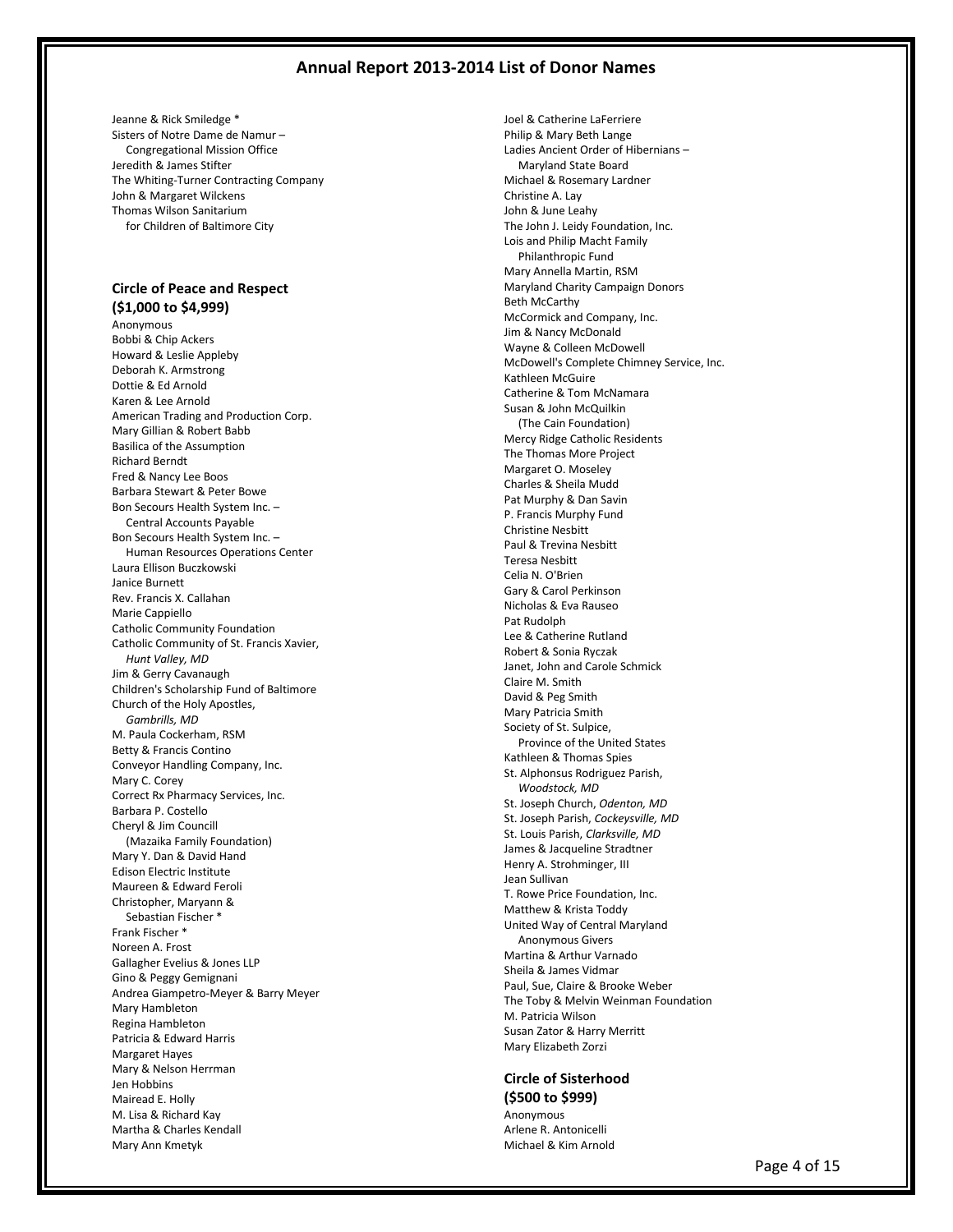Jeanne & Rick Smiledge \* Sisters of Notre Dame de Namur – Congregational Mission Office Jeredith & James Stifter The Whiting-Turner Contracting Company John & Margaret Wilckens Thomas Wilson Sanitarium for Children of Baltimore City

## **Circle of Peace and Respect (\$1,000 to \$4,999)**

Anonymous Bobbi & Chip Ackers Howard & Leslie Appleby Deborah K. Armstrong Dottie & Ed Arnold Karen & Lee Arnold American Trading and Production Corp. Mary Gillian & Robert Babb Basilica of the Assumption Richard Berndt Fred & Nancy Lee Boos Barbara Stewart & Peter Bowe Bon Secours Health System Inc. – Central Accounts Payable Bon Secours Health System Inc. – Human Resources Operations Center Laura Ellison Buczkowski Janice Burnett Rev. Francis X. Callahan Marie Canniello Catholic Community Foundation Catholic Community of St. Francis Xavier, *Hunt Valley, MD* Jim & Gerry Cavanaugh Children's Scholarship Fund of Baltimore Church of the Holy Apostles, *Gambrills, MD* M. Paula Cockerham, RSM Betty & Francis Contino Conveyor Handling Company, Inc. Mary C. Corey Correct Rx Pharmacy Services, Inc. Barbara P. Costello Cheryl & Jim Councill (Mazaika Family Foundation) Mary Y. Dan & David Hand Edison Electric Institute Maureen & Edward Feroli Christopher, Maryann & Sebastian Fischer \* Frank Fischer \* Noreen A. Frost Gallagher Evelius & Jones LLP Gino & Peggy Gemignani Andrea Giampetro-Meyer & Barry Meyer Mary Hambleton Regina Hambleton Patricia & Edward Harris Margaret Hayes Mary & Nelson Herrman Jen Hobbins Mairead E. Holly M. Lisa & Richard Kay Martha & Charles Kendall Mary Ann Kmetyk

Joel & Catherine LaFerriere Philip & Mary Beth Lange Ladies Ancient Order of Hibernians – Maryland State Board Michael & Rosemary Lardner Christine A. Lay John & June Leahy The John J. Leidy Foundation, Inc. Lois and Philip Macht Family Philanthropic Fund Mary Annella Martin, RSM Maryland Charity Campaign Donors Beth McCarthy McCormick and Company, Inc. Jim & Nancy McDonald Wayne & Colleen McDowell McDowell's Complete Chimney Service, Inc. Kathleen McGuire Catherine & Tom McNamara Susan & John McQuilkin (The Cain Foundation) Mercy Ridge Catholic Residents The Thomas More Project Margaret O. Moseley Charles & Sheila Mudd Pat Murphy & Dan Savin P. Francis Murphy Fund Christine Nesbitt Paul & Trevina Nesbitt Teresa Nesbitt Celia N. O'Brien Gary & Carol Perkinson Nicholas & Eva Rauseo Pat Rudolph Lee & Catherine Rutland Robert & Sonia Ryczak Janet, John and Carole Schmick Claire M. Smith David & Peg Smith Mary Patricia Smith Society of St. Sulpice, Province of the United States Kathleen & Thomas Spies St. Alphonsus Rodriguez Parish, *Woodstock, MD* St. Joseph Church, *Odenton, MD* St. Joseph Parish, *Cockeysville, MD* St. Louis Parish, *Clarksville, MD* James & Jacqueline Stradtner Henry A. Strohminger, III Jean Sullivan T. Rowe Price Foundation, Inc. Matthew & Krista Toddy United Way of Central Maryland Anonymous Givers Martina & Arthur Varnado Sheila & James Vidmar Paul, Sue, Claire & Brooke Weber The Toby & Melvin Weinman Foundation M. Patricia Wilson Susan Zator & Harry Merritt Mary Elizabeth Zorzi

### **Circle of Sisterhood (\$500 to \$999)**

Anonymous Arlene R. Antonicelli Michael & Kim Arnold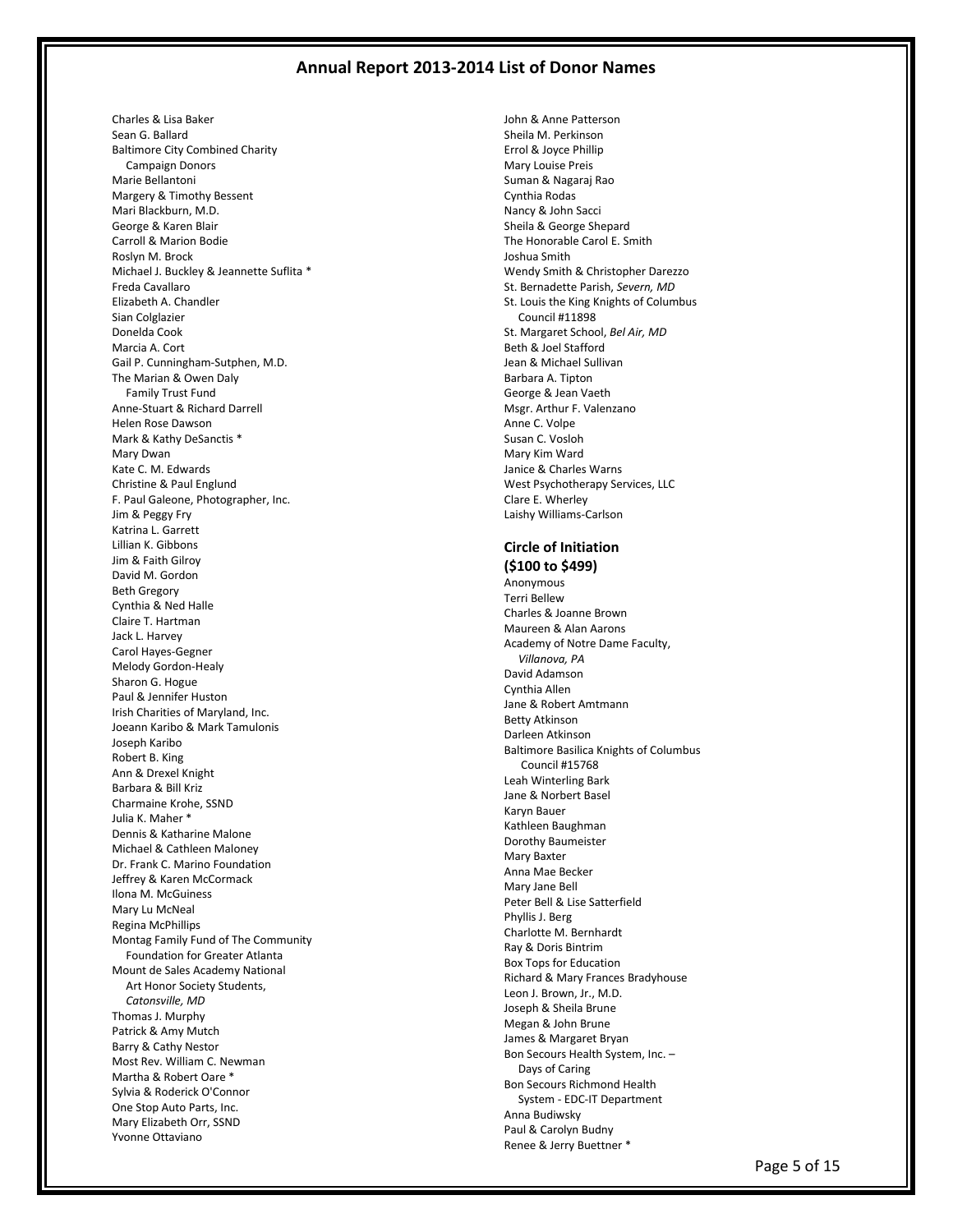Charles & Lisa Baker Sean G. Ballard Baltimore City Combined Charity Campaign Donors Marie Bellantoni Margery & Timothy Bessent Mari Blackburn, M.D. George & Karen Blair Carroll & Marion Bodie Roslyn M. Brock Michael J. Buckley & Jeannette Suflita \* Freda Cavallaro Elizabeth A. Chandler Sian Colglazier Donelda Cook Marcia A. Cort Gail P. Cunningham-Sutphen, M.D. The Marian & Owen Daly Family Trust Fund Anne-Stuart & Richard Darrell Helen Rose Dawson Mark & Kathy DeSanctis \* Mary Dwan Kate C. M. Edwards Christine & Paul Englund F. Paul Galeone, Photographer, Inc. Jim & Peggy Fry Katrina L. Garrett Lillian K. Gibbons Jim & Faith Gilroy David M. Gordon Beth Gregory Cynthia & Ned Halle Claire T. Hartman Jack L. Harvey Carol Hayes-Gegner Melody Gordon-Healy Sharon G. Hogue Paul & Jennifer Huston Irish Charities of Maryland, Inc. Joeann Karibo & Mark Tamulonis Joseph Karibo Robert B. King Ann & Drexel Knight Barbara & Bill Kriz Charmaine Krohe, SSND Julia K. Maher \* Dennis & Katharine Malone Michael & Cathleen Maloney Dr. Frank C. Marino Foundation Jeffrey & Karen McCormack Ilona M. McGuiness Mary Lu McNeal Regina McPhillips Montag Family Fund of The Community Foundation for Greater Atlanta Mount de Sales Academy National Art Honor Society Students, *Catonsville, MD* Thomas J. Murphy Patrick & Amy Mutch Barry & Cathy Nestor Most Rev. William C. Newman Martha & Robert Oare \* Sylvia & Roderick O'Connor One Stop Auto Parts, Inc. Mary Elizabeth Orr, SSND Yvonne Ottaviano

John & Anne Patterson Sheila M. Perkinson Errol & Joyce Phillip Mary Louise Preis Suman & Nagaraj Rao Cynthia Rodas Nancy & John Sacci Sheila & George Shepard The Honorable Carol E. Smith Joshua Smith Wendy Smith & Christopher Darezzo St. Bernadette Parish, *Severn, MD* St. Louis the King Knights of Columbus Council #11898 St. Margaret School, *Bel Air, MD* Beth & Joel Stafford Jean & Michael Sullivan Barbara A. Tipton George & Jean Vaeth Msgr. Arthur F. Valenzano Anne C. Volpe Susan C. Vosloh Mary Kim Ward Janice & Charles Warns West Psychotherapy Services, LLC Clare E. Wherley Laishy Williams-Carlson

## **Circle of Initiation (\$100 to \$499)**

Anonymous Terri Bellew Charles & Joanne Brown Maureen & Alan Aarons Academy of Notre Dame Faculty, *Villanova, PA* David Adamson Cynthia Allen Jane & Robert Amtmann Betty Atkinson Darleen Atkinson Baltimore Basilica Knights of Columbus Council #15768 Leah Winterling Bark Jane & Norbert Basel Karyn Bauer Kathleen Baughman Dorothy Baumeister Mary Baxter Anna Mae Becker Mary Jane Bell Peter Bell & Lise Satterfield Phyllis J. Berg Charlotte M. Bernhardt Ray & Doris Bintrim Box Tops for Education Richard & Mary Frances Bradyhouse Leon J. Brown, Jr., M.D. Joseph & Sheila Brune Megan & John Brune James & Margaret Bryan Bon Secours Health System, Inc. – Days of Caring Bon Secours Richmond Health System - EDC-IT Department Anna Budiwsky Paul & Carolyn Budny Renee & Jerry Buettner \*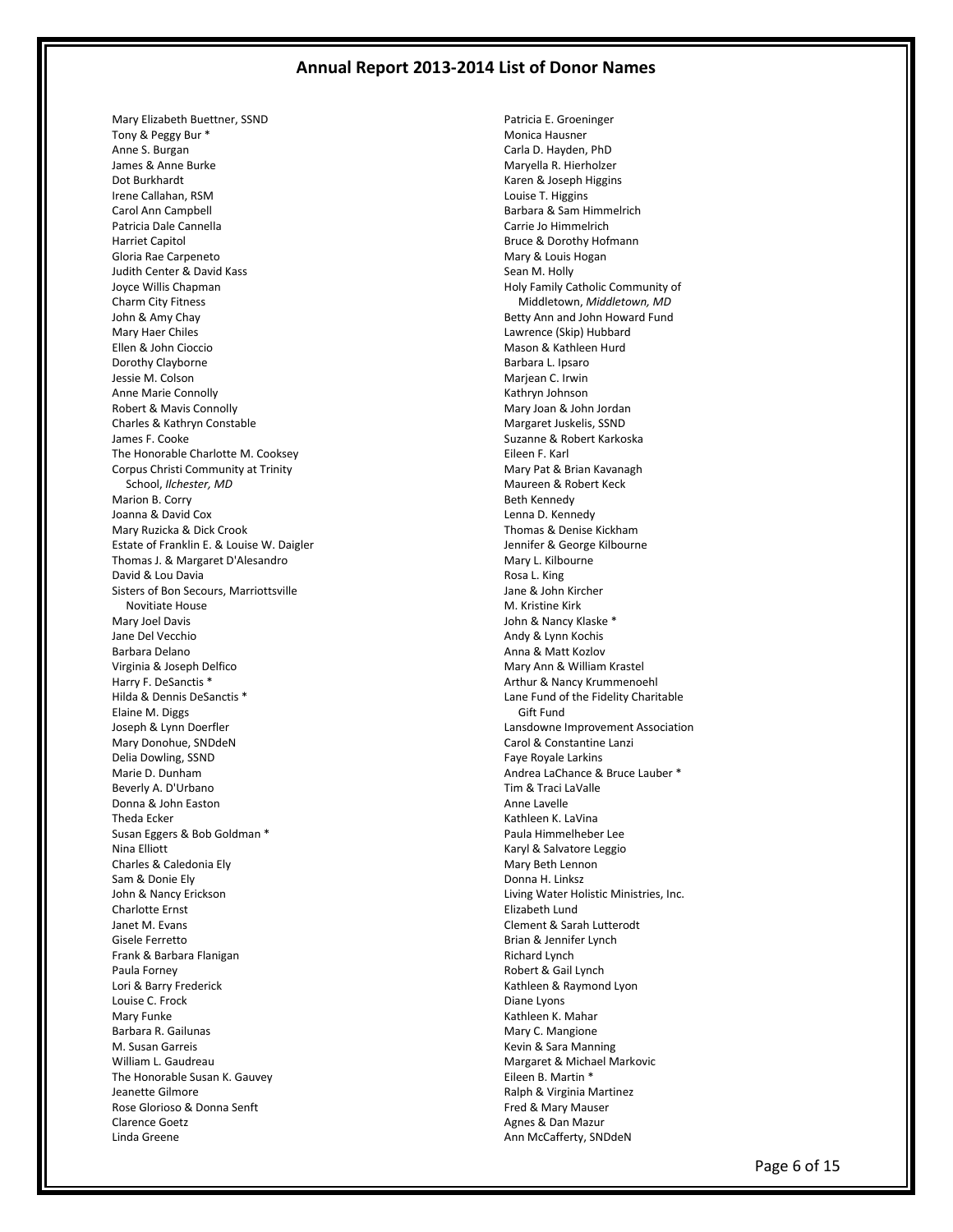Mary Elizabeth Buettner, SSND Tony & Peggy Bur \* Anne S. Burgan James & Anne Burke Dot Burkhardt Irene Callahan, RSM Carol Ann Campbell Patricia Dale Cannella Harriet Capitol Gloria Rae Carpeneto Judith Center & David Kass Joyce Willis Chapman Charm City Fitness John & Amy Chay Mary Haer Chiles Ellen & John Cioccio Dorothy Clayborne Jessie M. Colson Anne Marie Connolly Robert & Mavis Connolly Charles & Kathryn Constable James F. Cooke The Honorable Charlotte M. Cooksey Corpus Christi Community at Trinity School, *Ilchester, MD* Marion B. Corry Joanna & David Cox Mary Ruzicka & Dick Crook Estate of Franklin E. & Louise W. Daigler Thomas J. & Margaret D'Alesandro David & Lou Davia Sisters of Bon Secours, Marriottsville Novitiate House Mary Joel Davis Jane Del Vecchio Barbara Delano Virginia & Joseph Delfico Harry F. DeSanctis \* Hilda & Dennis DeSanctis \* Elaine M. Diggs Joseph & Lynn Doerfler Mary Donohue, SNDdeN Delia Dowling, SSND Marie D. Dunham Beverly A. D'Urbano Donna & John Easton Theda Ecker Susan Eggers & Bob Goldman \* Nina Elliott Charles & Caledonia Ely Sam & Donie Ely John & Nancy Erickson Charlotte Ernst Janet M. Evans Gisele Ferretto Frank & Barbara Flanigan Paula Forney Lori & Barry Frederick Louise C. Frock Mary Funke Barbara R. Gailunas M. Susan Garreis William L. Gaudreau The Honorable Susan K. Gauvey Jeanette Gilmore Rose Glorioso & Donna Senft Clarence Goetz Linda Greene

Patricia E. Groeninger Monica Hausner Carla D. Hayden, PhD Maryella R. Hierholzer Karen & Joseph Higgins Louise T. Higgins Barbara & Sam Himmelrich Carrie Jo Himmelrich Bruce & Dorothy Hofmann Mary & Louis Hogan Sean M. Holly Holy Family Catholic Community of Middletown, *Middletown, MD* Betty Ann and John Howard Fund Lawrence (Skip) Hubbard Mason & Kathleen Hurd Barbara L. Ipsaro Marjean C. Irwin Kathryn Johnson Mary Joan & John Jordan Margaret Juskelis, SSND Suzanne & Robert Karkoska Eileen F. Karl Mary Pat & Brian Kavanagh Maureen & Robert Keck Beth Kennedy Lenna D. Kennedy Thomas & Denise Kickham Jennifer & George Kilbourne Mary L. Kilbourne Rosa L. King Jane & John Kircher M. Kristine Kirk John & Nancy Klaske \* Andy & Lynn Kochis Anna & Matt Kozlov Mary Ann & William Krastel Arthur & Nancy Krummenoehl Lane Fund of the Fidelity Charitable Gift Fund Lansdowne Improvement Association Carol & Constantine Lanzi Faye Royale Larkins Andrea LaChance & Bruce Lauber \* Tim & Traci LaValle Anne Lavelle Kathleen K. LaVina Paula Himmelheber Lee Karyl & Salvatore Leggio Mary Beth Lennon Donna H. Linksz Living Water Holistic Ministries, Inc. Elizabeth Lund Clement & Sarah Lutterodt Brian & Jennifer Lynch Richard Lynch Robert & Gail Lynch Kathleen & Raymond Lyon Diane Lyons Kathleen K. Mahar Mary C. Mangione Kevin & Sara Manning Margaret & Michael Markovic Eileen B. Martin \* Ralph & Virginia Martinez Fred & Mary Mauser Agnes & Dan Mazur Ann McCafferty, SNDdeN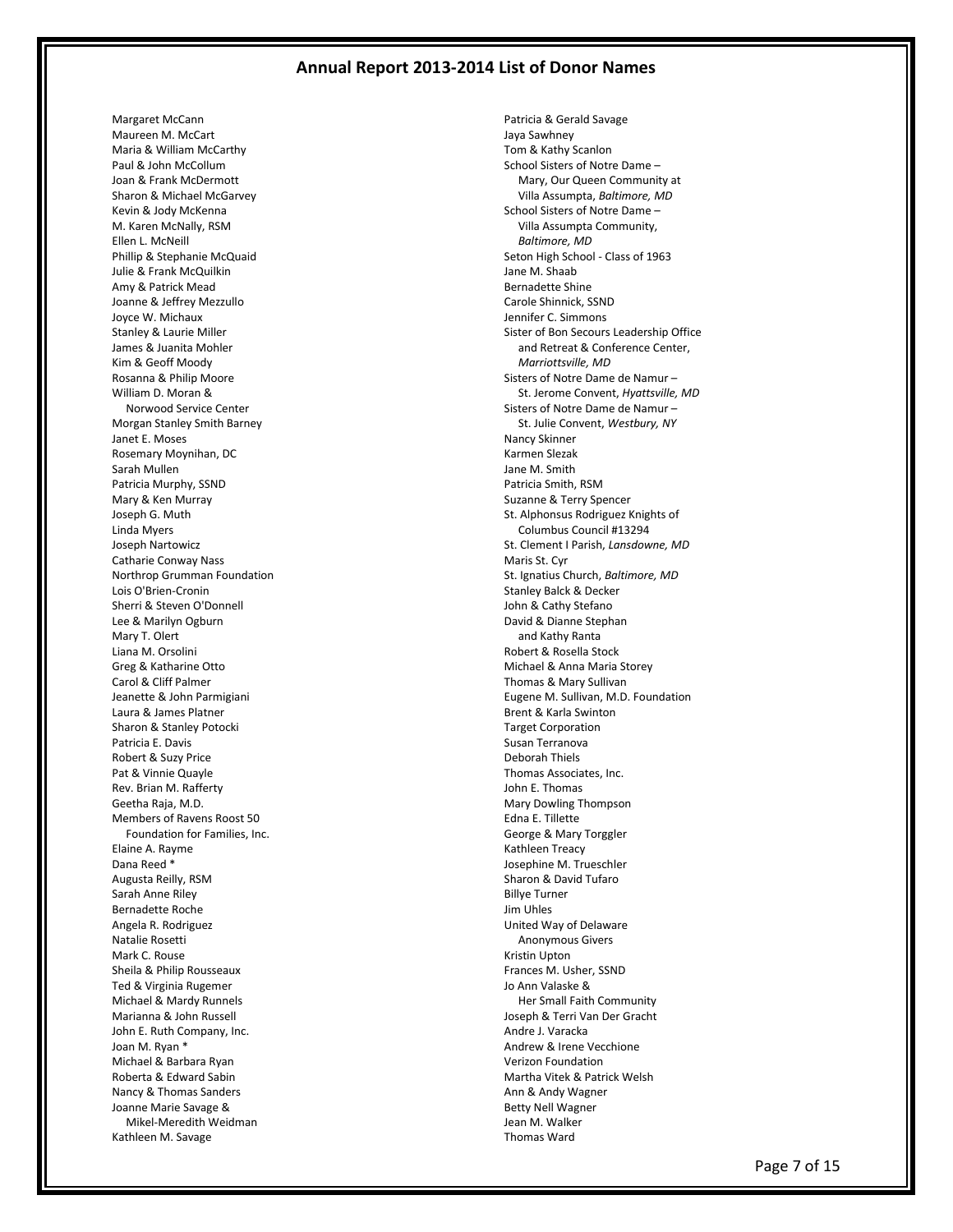Margaret McCann Maureen M. McCart Maria & William McCarthy Paul & John McCollum Joan & Frank McDermott Sharon & Michael McGarvey Kevin & Jody McKenna M. Karen McNally, RSM Ellen L. McNeill Phillip & Stephanie McQuaid Julie & Frank McQuilkin Amy & Patrick Mead Joanne & Jeffrey Mezzullo Joyce W. Michaux Stanley & Laurie Miller James & Juanita Mohler Kim & Geoff Moody Rosanna & Philip Moore William D. Moran & Norwood Service Center Morgan Stanley Smith Barney Janet E. Moses Rosemary Moynihan, DC Sarah Mullen Patricia Murphy, SSND Mary & Ken Murray Joseph G. Muth Linda Myers Joseph Nartowicz Catharie Conway Nass Northrop Grumman Foundation Lois O'Brien-Cronin Sherri & Steven O'Donnell Lee & Marilyn Ogburn Mary T. Olert Liana M. Orsolini Greg & Katharine Otto Carol & Cliff Palmer Jeanette & John Parmigiani Laura & James Platner Sharon & Stanley Potocki Patricia E. Davis Robert & Suzy Price Pat & Vinnie Quayle Rev. Brian M. Rafferty Geetha Raja, M.D. Members of Ravens Roost 50 Foundation for Families, Inc. Elaine A. Rayme Dana Reed \* Augusta Reilly, RSM Sarah Anne Riley Bernadette Roche Angela R. Rodriguez Natalie Rosetti Mark C. Rouse Sheila & Philip Rousseaux Ted & Virginia Rugemer Michael & Mardy Runnels Marianna & John Russell John E. Ruth Company, Inc. Joan M. Ryan \* Michael & Barbara Ryan Roberta & Edward Sabin Nancy & Thomas Sanders Joanne Marie Savage & Mikel-Meredith Weidman Kathleen M. Savage

Patricia & Gerald Savage Jaya Sawhney Tom & Kathy Scanlon School Sisters of Notre Dame – Mary, Our Queen Community at Villa Assumpta, *Baltimore, MD* School Sisters of Notre Dame – Villa Assumpta Community, *Baltimore, MD* Seton High School - Class of 1963 Jane M. Shaab Bernadette Shine Carole Shinnick, SSND Jennifer C. Simmons Sister of Bon Secours Leadership Office and Retreat & Conference Center, *Marriottsville, MD* Sisters of Notre Dame de Namur – St. Jerome Convent, *Hyattsville, MD* Sisters of Notre Dame de Namur – St. Julie Convent, *Westbury, NY* Nancy Skinner Karmen Slezak Jane M. Smith Patricia Smith, RSM Suzanne & Terry Spencer St. Alphonsus Rodriguez Knights of Columbus Council #13294 St. Clement I Parish, *Lansdowne, MD* Maris St. Cyr St. Ignatius Church, *Baltimore, MD* Stanley Balck & Decker John & Cathy Stefano David & Dianne Stephan and Kathy Ranta Robert & Rosella Stock Michael & Anna Maria Storey Thomas & Mary Sullivan Eugene M. Sullivan, M.D. Foundation Brent & Karla Swinton Target Corporation Susan Terranova Deborah Thiels Thomas Associates, Inc. John E. Thomas Mary Dowling Thompson Edna E. Tillette George & Mary Torggler Kathleen Treacy Josephine M. Trueschler Sharon & David Tufaro Billye Turner Jim Uhles United Way of Delaware Anonymous Givers Kristin Upton Frances M. Usher, SSND Jo Ann Valaske & Her Small Faith Community Joseph & Terri Van Der Gracht Andre J. Varacka Andrew & Irene Vecchione Verizon Foundation Martha Vitek & Patrick Welsh Ann & Andy Wagner Betty Nell Wagner Jean M. Walker Thomas Ward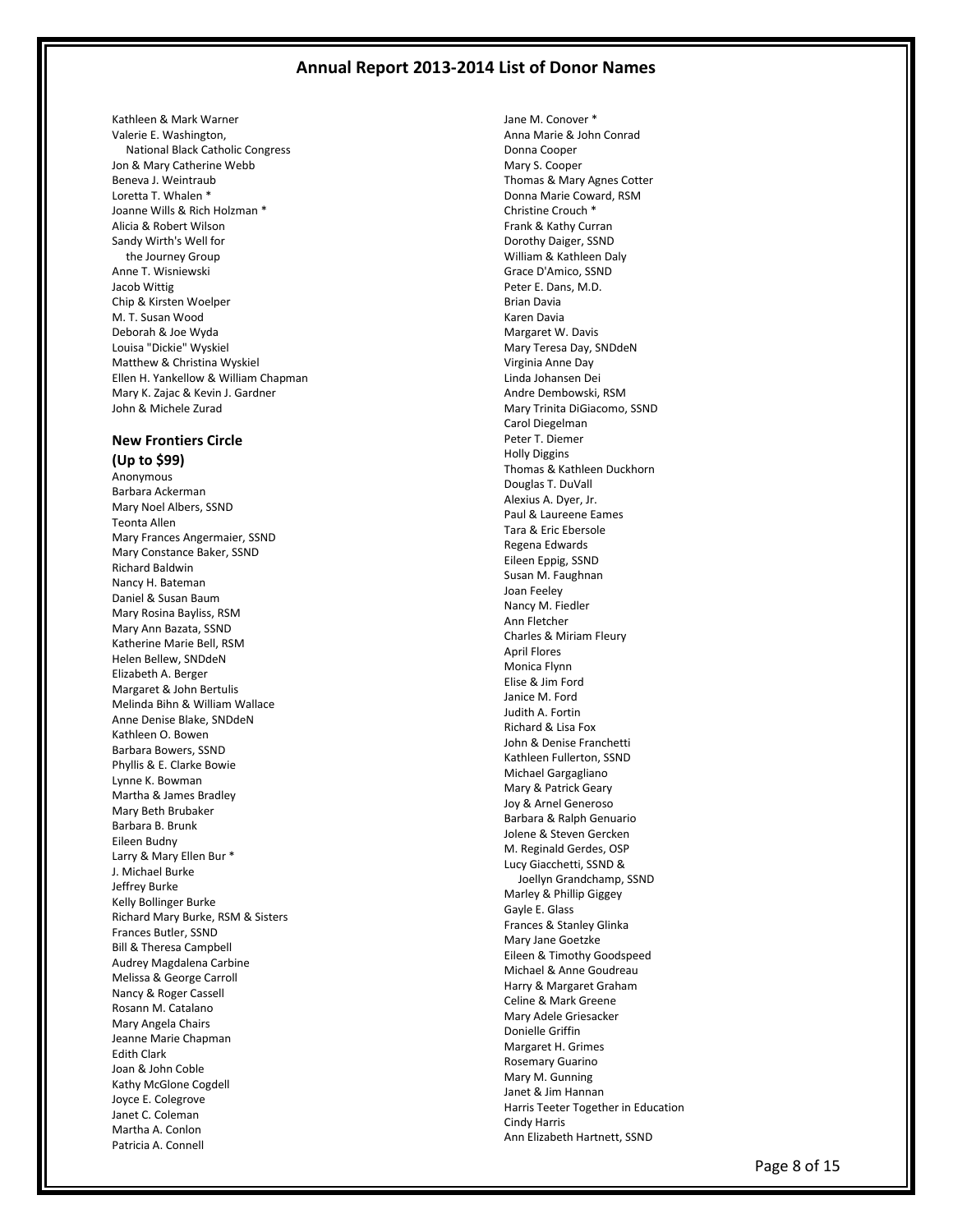Kathleen & Mark Warner Valerie E. Washington, National Black Catholic Congress Jon & Mary Catherine Webb Beneva J. Weintraub Loretta T. Whalen \* Joanne Wills & Rich Holzman \* Alicia & Robert Wilson Sandy Wirth's Well for the Journey Group Anne T. Wisniewski Jacob Wittig Chip & Kirsten Woelper M. T. Susan Wood Deborah & Joe Wyda Louisa "Dickie" Wyskiel Matthew & Christina Wyskiel Ellen H. Yankellow & William Chapman Mary K. Zajac & Kevin J. Gardner John & Michele Zurad

## **New Frontiers Circle (Up to \$99)**

Anonymous Barbara Ackerman Mary Noel Albers, SSND Teonta Allen Mary Frances Angermaier, SSND Mary Constance Baker, SSND Richard Baldwin Nancy H. Bateman Daniel & Susan Baum Mary Rosina Bayliss, RSM Mary Ann Bazata, SSND Katherine Marie Bell, RSM Helen Bellew, SNDdeN Elizabeth A. Berger Margaret & John Bertulis Melinda Bihn & William Wallace Anne Denise Blake, SNDdeN Kathleen O. Bowen Barbara Bowers, SSND Phyllis & E. Clarke Bowie Lynne K. Bowman Martha & James Bradley Mary Beth Brubaker Barbara B. Brunk Eileen Budny Larry & Mary Ellen Bur \* J. Michael Burke Jeffrey Burke Kelly Bollinger Burke Richard Mary Burke, RSM & Sisters Frances Butler, SSND Bill & Theresa Campbell Audrey Magdalena Carbine Melissa & George Carroll Nancy & Roger Cassell Rosann M. Catalano Mary Angela Chairs Jeanne Marie Chapman Edith Clark Joan & John Coble Kathy McGlone Cogdell Joyce E. Colegrove Janet C. Coleman Martha A. Conlon Patricia A. Connell

Jane M. Conover \* Anna Marie & John Conrad Donna Cooper Mary S. Cooper Thomas & Mary Agnes Cotter Donna Marie Coward, RSM Christine Crouch \* Frank & Kathy Curran Dorothy Daiger, SSND William & Kathleen Daly Grace D'Amico, SSND Peter E. Dans, M.D. Brian Davia Karen Davia Margaret W. Davis Mary Teresa Day, SNDdeN Virginia Anne Day Linda Johansen Dei Andre Dembowski, RSM Mary Trinita DiGiacomo, SSND Carol Diegelman Peter T. Diemer Holly Diggins Thomas & Kathleen Duckhorn Douglas T. DuVall Alexius A. Dyer, Jr. Paul & Laureene Eames Tara & Eric Ebersole Regena Edwards Eileen Eppig, SSND Susan M. Faughnan Joan Feeley Nancy M. Fiedler Ann Fletcher Charles & Miriam Fleury April Flores Monica Flynn Elise & Jim Ford Janice M. Ford Judith A. Fortin Richard & Lisa Fox John & Denise Franchetti Kathleen Fullerton, SSND Michael Gargagliano Mary & Patrick Geary Joy & Arnel Generoso Barbara & Ralph Genuario Jolene & Steven Gercken M. Reginald Gerdes, OSP Lucy Giacchetti, SSND & Joellyn Grandchamp, SSND Marley & Phillip Giggey Gayle E. Glass Frances & Stanley Glinka Mary Jane Goetzke Eileen & Timothy Goodspeed Michael & Anne Goudreau Harry & Margaret Graham Celine & Mark Greene Mary Adele Griesacker Donielle Griffin Margaret H. Grimes Rosemary Guarino Mary M. Gunning Janet & Jim Hannan Harris Teeter Together in Education Cindy Harris Ann Elizabeth Hartnett, SSND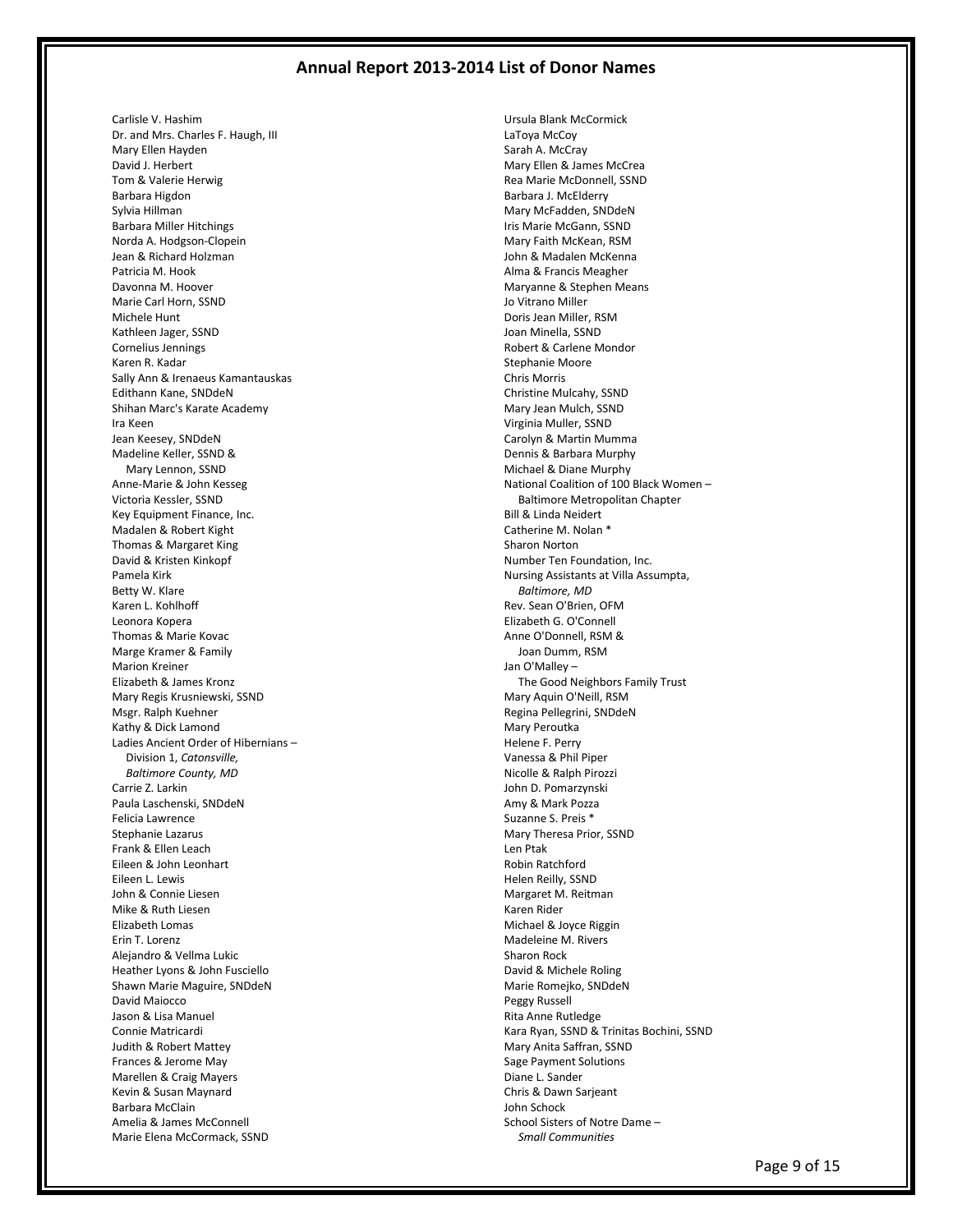Carlisle V. Hashim Dr. and Mrs. Charles F. Haugh, III Mary Ellen Hayden David J. Herbert Tom & Valerie Herwig Barbara Higdon Sylvia Hillman Barbara Miller Hitchings Norda A. Hodgson-Clopein Jean & Richard Holzman Patricia M. Hook Davonna M. Hoover Marie Carl Horn, SSND Michele Hunt Kathleen Jager, SSND Cornelius Jennings Karen R. Kadar Sally Ann & Irenaeus Kamantauskas Edithann Kane, SNDdeN Shihan Marc's Karate Academy Ira Keen Jean Keesey, SNDdeN Madeline Keller, SSND & Mary Lennon, SSND Anne-Marie & John Kesseg Victoria Kessler, SSND Key Equipment Finance, Inc. Madalen & Robert Kight Thomas & Margaret King David & Kristen Kinkopf Pamela Kirk Betty W. Klare Karen L. Kohlhoff Leonora Kopera Thomas & Marie Kovac Marge Kramer & Family Marion Kreiner Elizabeth & James Kronz Mary Regis Krusniewski, SSND Msgr. Ralph Kuehner Kathy & Dick Lamond Ladies Ancient Order of Hibernians – Division 1, *Catonsville, Baltimore County, MD* Carrie Z. Larkin Paula Laschenski, SNDdeN Felicia Lawrence Stephanie Lazarus Frank & Ellen Leach Eileen & John Leonhart Eileen L. Lewis John & Connie Liesen Mike & Ruth Liesen Elizabeth Lomas Erin T. Lorenz Alejandro & Vellma Lukic Heather Lyons & John Fusciello Shawn Marie Maguire, SNDdeN David Maiocco Jason & Lisa Manuel Connie Matricardi Judith & Robert Mattey Frances & Jerome May Marellen & Craig Mayers Kevin & Susan Maynard Barbara McClain Amelia & James McConnell Marie Elena McCormack, SSND

Ursula Blank McCormick LaToya McCoy Sarah A. McCray Mary Ellen & James McCrea Rea Marie McDonnell, SSND Barbara J. McElderry Mary McFadden, SNDdeN Iris Marie McGann, SSND Mary Faith McKean, RSM John & Madalen McKenna Alma & Francis Meagher Maryanne & Stephen Means Jo Vitrano Miller Doris Jean Miller, RSM Joan Minella, SSND Robert & Carlene Mondor Stephanie Moore Chris Morris Christine Mulcahy, SSND Mary Jean Mulch, SSND Virginia Muller, SSND Carolyn & Martin Mumma Dennis & Barbara Murphy Michael & Diane Murphy National Coalition of 100 Black Women – Baltimore Metropolitan Chapter Bill & Linda Neidert Catherine M. Nolan \* Sharon Norton Number Ten Foundation, Inc. Nursing Assistants at Villa Assumpta, *Baltimore, MD* Rev. Sean O'Brien, OFM Elizabeth G. O'Connell Anne O'Donnell, RSM & Joan Dumm, RSM Jan O'Malley – The Good Neighbors Family Trust Mary Aquin O'Neill, RSM Regina Pellegrini, SNDdeN Mary Peroutka Helene F. Perry Vanessa & Phil Piper Nicolle & Ralph Pirozzi John D. Pomarzynski Amy & Mark Pozza Suzanne S. Preis \* Mary Theresa Prior, SSND Len Ptak Robin Ratchford Helen Reilly, SSND Margaret M. Reitman Karen Rider Michael & Joyce Riggin Madeleine M. Rivers Sharon Rock David & Michele Roling Marie Romejko, SNDdeN Peggy Russell Rita Anne Rutledge Kara Ryan, SSND & Trinitas Bochini, SSND Mary Anita Saffran, SSND Sage Payment Solutions Diane L. Sander Chris & Dawn Sarjeant John Schock School Sisters of Notre Dame – *Small Communities*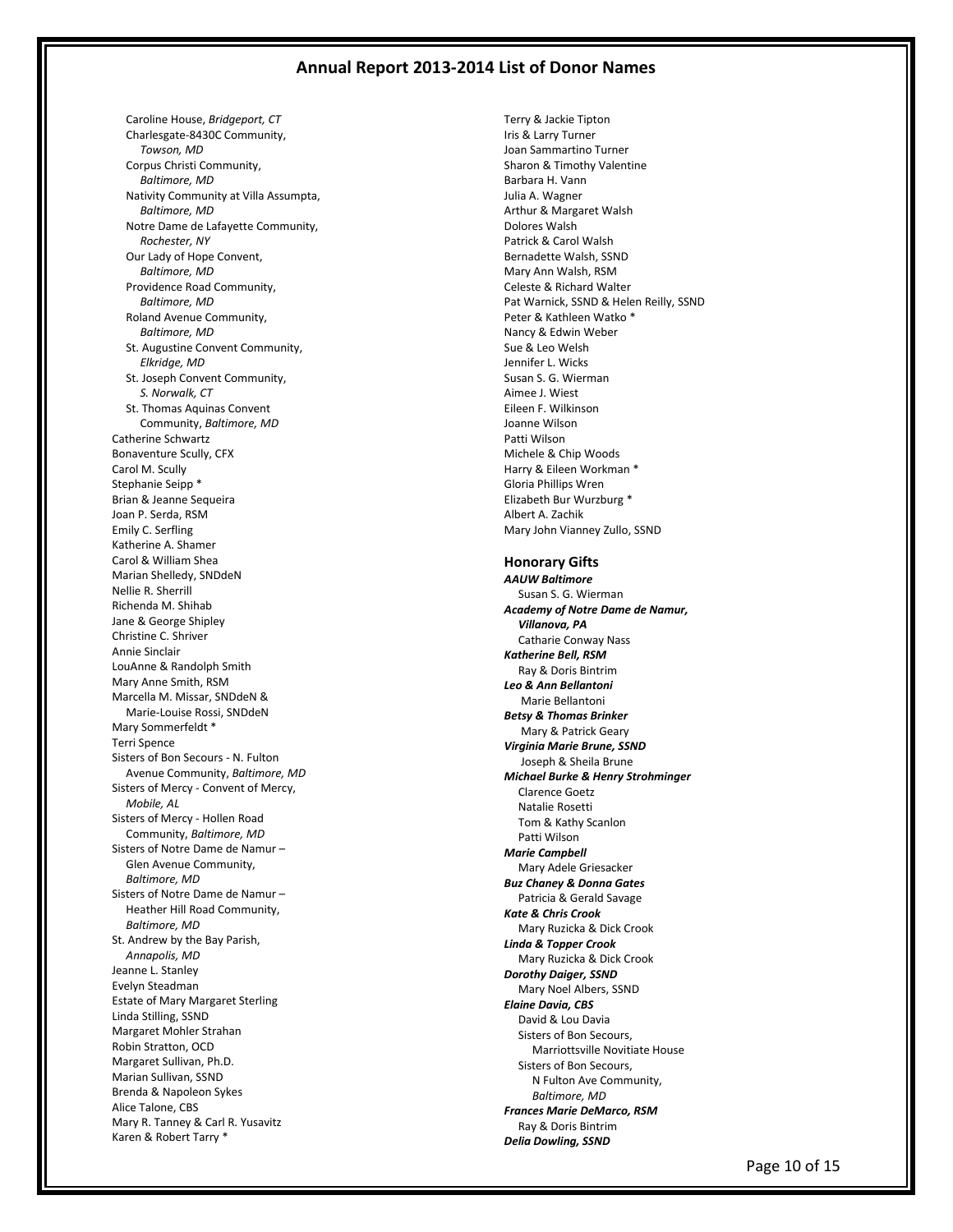Caroline House, *Bridgeport, CT* Charlesgate-8430C Community, *Towson, MD* Corpus Christi Community, *Baltimore, MD* Nativity Community at Villa Assumpta, *Baltimore, MD* Notre Dame de Lafayette Community, *Rochester, NY* Our Lady of Hope Convent, *Baltimore, MD* Providence Road Community, *Baltimore, MD* Roland Avenue Community, *Baltimore, MD* St. Augustine Convent Community, *Elkridge, MD* St. Joseph Convent Community, *S. Norwalk, CT* St. Thomas Aquinas Convent Community, *Baltimore, MD* Catherine Schwartz Bonaventure Scully, CFX Carol M. Scully Stephanie Seipp \* Brian & Jeanne Sequeira Joan P. Serda, RSM Emily C. Serfling Katherine A. Shamer Carol & William Shea Marian Shelledy, SNDdeN Nellie R. Sherrill Richenda M. Shihab Jane & George Shipley Christine C. Shriver Annie Sinclair LouAnne & Randolph Smith Mary Anne Smith, RSM Marcella M. Missar, SNDdeN & Marie-Louise Rossi, SNDdeN Mary Sommerfeldt \* Terri Spence Sisters of Bon Secours - N. Fulton Avenue Community, *Baltimore, MD* Sisters of Mercy - Convent of Mercy, *Mobile, AL* Sisters of Mercy - Hollen Road Community, *Baltimore, MD* Sisters of Notre Dame de Namur – Glen Avenue Community, *Baltimore, MD* Sisters of Notre Dame de Namur – Heather Hill Road Community, *Baltimore, MD* St. Andrew by the Bay Parish, *Annapolis, MD* Jeanne L. Stanley Evelyn Steadman Estate of Mary Margaret Sterling Linda Stilling, SSND Margaret Mohler Strahan Robin Stratton, OCD Margaret Sullivan, Ph.D. Marian Sullivan, SSND Brenda & Napoleon Sykes Alice Talone, CBS Mary R. Tanney & Carl R. Yusavitz Karen & Robert Tarry \*

Terry & Jackie Tipton Iris & Larry Turner Joan Sammartino Turner Sharon & Timothy Valentine Barbara H. Vann Julia A. Wagner Arthur & Margaret Walsh Dolores Walsh Patrick & Carol Walsh Bernadette Walsh, SSND Mary Ann Walsh, RSM Celeste & Richard Walter Pat Warnick, SSND & Helen Reilly, SSND Peter & Kathleen Watko \* Nancy & Edwin Weber Sue & Leo Welsh Jennifer L. Wicks Susan S. G. Wierman Aimee J. Wiest Eileen F. Wilkinson Joanne Wilson Patti Wilson Michele & Chip Woods Harry & Eileen Workman \* Gloria Phillips Wren Elizabeth Bur Wurzburg \* Albert A. Zachik Mary John Vianney Zullo, SSND **Honorary Gifts** *AAUW Baltimore* Susan S. G. Wierman *Academy of Notre Dame de Namur, Villanova, PA* Catharie Conway Nass *Katherine Bell, RSM* Ray & Doris Bintrim *Leo & Ann Bellantoni* Marie Bellantoni *Betsy & Thomas Brinker* Mary & Patrick Geary *Virginia Marie Brune, SSND* Joseph & Sheila Brune *Michael Burke & Henry Strohminger* Clarence Goetz Natalie Rosetti Tom & Kathy Scanlon Patti Wilson *Marie Campbell* Mary Adele Griesacker *Buz Chaney & Donna Gates* Patricia & Gerald Savage *Kate & Chris Crook* Mary Ruzicka & Dick Crook *Linda & Topper Crook* Mary Ruzicka & Dick Crook *Dorothy Daiger, SSND* Mary Noel Albers, SSND *Elaine Davia, CBS* David & Lou Davia Sisters of Bon Secours, Marriottsville Novitiate House Sisters of Bon Secours, N Fulton Ave Community, *Baltimore, MD*

*Frances Marie DeMarco, RSM* Ray & Doris Bintrim *Delia Dowling, SSND*

Page 10 of 15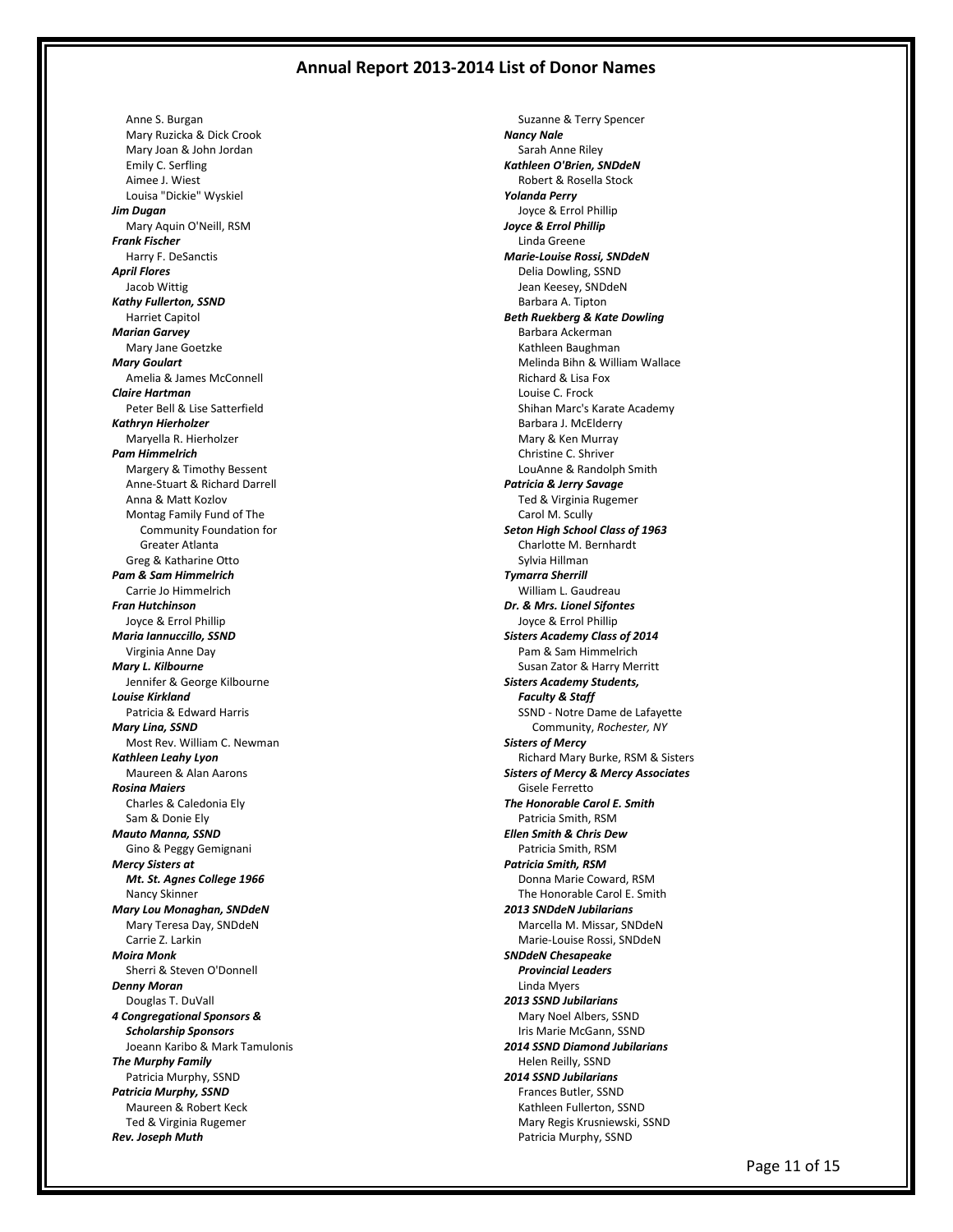Anne S. Burgan Mary Ruzicka & Dick Crook Mary Joan & John Jordan Emily C. Serfling Aimee J. Wiest Louisa "Dickie" Wyskiel *Jim Dugan* Mary Aquin O'Neill, RSM *Frank Fischer* Harry F. DeSanctis *April Flores* Jacob Wittig *Kathy Fullerton, SSND* Harriet Capitol *Marian Garvey* Mary Jane Goetzke *Mary Goulart* Amelia & James McConnell *Claire Hartman* Peter Bell & Lise Satterfield *Kathryn Hierholzer* Maryella R. Hierholzer *Pam Himmelrich* Margery & Timothy Bessent Anne-Stuart & Richard Darrell Anna & Matt Kozlov Montag Family Fund of The Community Foundation for Greater Atlanta Greg & Katharine Otto *Pam & Sam Himmelrich* Carrie Jo Himmelrich *Fran Hutchinson* Joyce & Errol Phillip *Maria Iannuccillo, SSND* Virginia Anne Day *Mary L. Kilbourne* Jennifer & George Kilbourne *Louise Kirkland* Patricia & Edward Harris *Mary Lina, SSND* Most Rev. William C. Newman *Kathleen Leahy Lyon* Maureen & Alan Aarons *Rosina Maiers* Charles & Caledonia Ely Sam & Donie Ely *Mauto Manna, SSND* Gino & Peggy Gemignani *Mercy Sisters at Mt. St. Agnes College 1966* Nancy Skinner *Mary Lou Monaghan, SNDdeN* Mary Teresa Day, SNDdeN Carrie Z. Larkin *Moira Monk* Sherri & Steven O'Donnell *Denny Moran* Douglas T. DuVall *4 Congregational Sponsors & Scholarship Sponsors* Joeann Karibo & Mark Tamulonis *The Murphy Family* Patricia Murphy, SSND *Patricia Murphy, SSND* Maureen & Robert Keck Ted & Virginia Rugemer *Rev. Joseph Muth*

 Suzanne & Terry Spencer *Nancy Nale* Sarah Anne Riley *Kathleen O'Brien, SNDdeN* Robert & Rosella Stock *Yolanda Perry* Joyce & Errol Phillip *Joyce & Errol Phillip* Linda Greene *Marie-Louise Rossi, SNDdeN* Delia Dowling, SSND Jean Keesey, SNDdeN Barbara A. Tipton *Beth Ruekberg & Kate Dowling* Barbara Ackerman Kathleen Baughman Melinda Bihn & William Wallace Richard & Lisa Fox Louise C. Frock Shihan Marc's Karate Academy Barbara J. McElderry Mary & Ken Murray Christine C. Shriver LouAnne & Randolph Smith *Patricia & Jerry Savage* Ted & Virginia Rugemer Carol M. Scully *Seton High School Class of 1963* Charlotte M. Bernhardt Sylvia Hillman *Tymarra Sherrill* William L. Gaudreau *Dr. & Mrs. Lionel Sifontes* Joyce & Errol Phillip *Sisters Academy Class of 2014* Pam & Sam Himmelrich Susan Zator & Harry Merritt *Sisters Academy Students, Faculty & Staff* SSND - Notre Dame de Lafayette Community, *Rochester, NY Sisters of Mercy* Richard Mary Burke, RSM & Sisters *Sisters of Mercy & Mercy Associates* Gisele Ferretto *The Honorable Carol E. Smith* Patricia Smith, RSM *Ellen Smith & Chris Dew* Patricia Smith, RSM *Patricia Smith, RSM* Donna Marie Coward, RSM The Honorable Carol E. Smith *2013 SNDdeN Jubilarians* Marcella M. Missar, SNDdeN Marie-Louise Rossi, SNDdeN *SNDdeN Chesapeake Provincial Leaders* Linda Myers *2013 SSND Jubilarians* Mary Noel Albers, SSND Iris Marie McGann, SSND *2014 SSND Diamond Jubilarians* Helen Reilly, SSND *2014 SSND Jubilarians* Frances Butler, SSND Kathleen Fullerton, SSND Mary Regis Krusniewski, SSND Patricia Murphy, SSND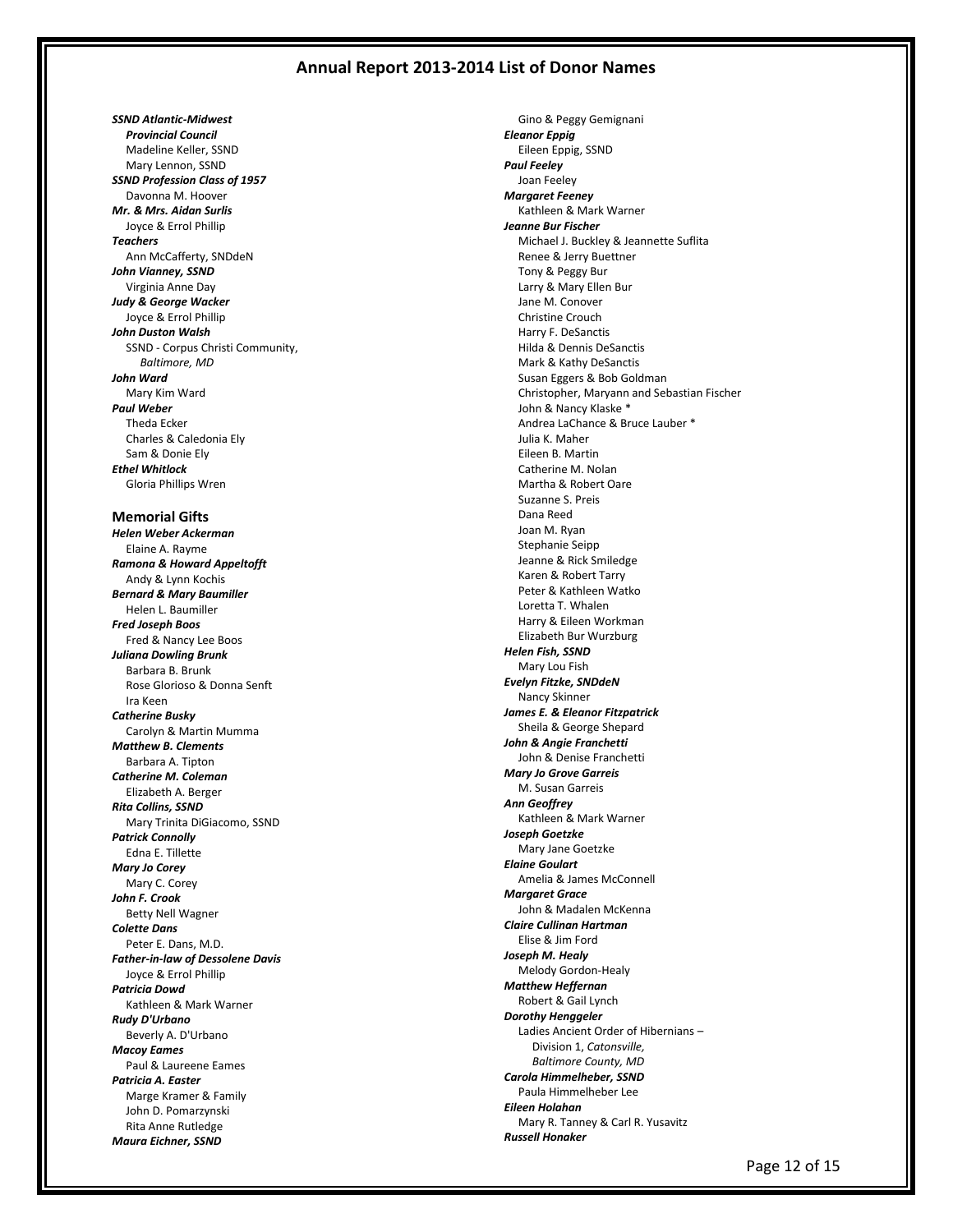*SSND Atlantic-Midwest Provincial Council* Madeline Keller, SSND Mary Lennon, SSND *SSND Profession Class of 1957* Davonna M. Hoover *Mr. & Mrs. Aidan Surlis* Joyce & Errol Phillip *Teachers* Ann McCafferty, SNDdeN *John Vianney, SSND* Virginia Anne Day *Judy & George Wacker* Joyce & Errol Phillip *John Duston Walsh* SSND - Corpus Christi Community, *Baltimore, MD John Ward* Mary Kim Ward *Paul Weber* Theda Ecker Charles & Caledonia Ely Sam & Donie Ely *Ethel Whitlock* Gloria Phillips Wren

**Memorial Gifts** *Helen Weber Ackerman* Elaine A. Rayme *Ramona & Howard Appeltofft* Andy & Lynn Kochis *Bernard & Mary Baumiller* Helen L. Baumiller *Fred Joseph Boos* Fred & Nancy Lee Boos *Juliana Dowling Brunk* Barbara B. Brunk Rose Glorioso & Donna Senft Ira Keen *Catherine Busky* Carolyn & Martin Mumma *Matthew B. Clements* Barbara A. Tipton *Catherine M. Coleman* Elizabeth A. Berger *Rita Collins, SSND* Mary Trinita DiGiacomo, SSND *Patrick Connolly* Edna E. Tillette *Mary Jo Corey* Mary C. Corey *John F. Crook* Betty Nell Wagner *Colette Dans* Peter E. Dans, M.D. *Father-in-law of Dessolene Davis* Joyce & Errol Phillip *Patricia Dowd* Kathleen & Mark Warner *Rudy D'Urbano* Beverly A. D'Urbano *Macoy Eames* Paul & Laureene Eames *Patricia A. Easter* Marge Kramer & Family John D. Pomarzynski Rita Anne Rutledge *Maura Eichner, SSND*

 Gino & Peggy Gemignani *Eleanor Eppig* Eileen Eppig, SSND *Paul Feeley* Joan Feeley *Margaret Feeney* Kathleen & Mark Warner *Jeanne Bur Fischer* Michael J. Buckley & Jeannette Suflita Renee & Jerry Buettner Tony & Peggy Bur Larry & Mary Ellen Bur Jane M. Conover Christine Crouch Harry F. DeSanctis Hilda & Dennis DeSanctis Mark & Kathy DeSanctis Susan Eggers & Bob Goldman Christopher, Maryann and Sebastian Fischer John & Nancy Klaske \* Andrea LaChance & Bruce Lauber \* Julia K. Maher Eileen B. Martin Catherine M. Nolan Martha & Robert Oare Suzanne S. Preis Dana Reed Joan M. Ryan Stephanie Seipp Jeanne & Rick Smiledge Karen & Robert Tarry Peter & Kathleen Watko Loretta T. Whalen Harry & Eileen Workman Elizabeth Bur Wurzburg *Helen Fish, SSND* Mary Lou Fish *Evelyn Fitzke, SNDdeN* Nancy Skinner *James E. & Eleanor Fitzpatrick* Sheila & George Shepard *John & Angie Franchetti* John & Denise Franchetti *Mary Jo Grove Garreis* M. Susan Garreis *Ann Geoffrey* Kathleen & Mark Warner *Joseph Goetzke* Mary Jane Goetzke *Elaine Goulart* Amelia & James McConnell *Margaret Grace* John & Madalen McKenna *Claire Cullinan Hartman* Elise & Jim Ford *Joseph M. Healy* Melody Gordon-Healy *Matthew Heffernan* Robert & Gail Lynch *Dorothy Henggeler* Ladies Ancient Order of Hibernians – Division 1, *Catonsville, Baltimore County, MD Carola Himmelheber, SSND* Paula Himmelheber Lee *Eileen Holahan* Mary R. Tanney & Carl R. Yusavitz *Russell Honaker*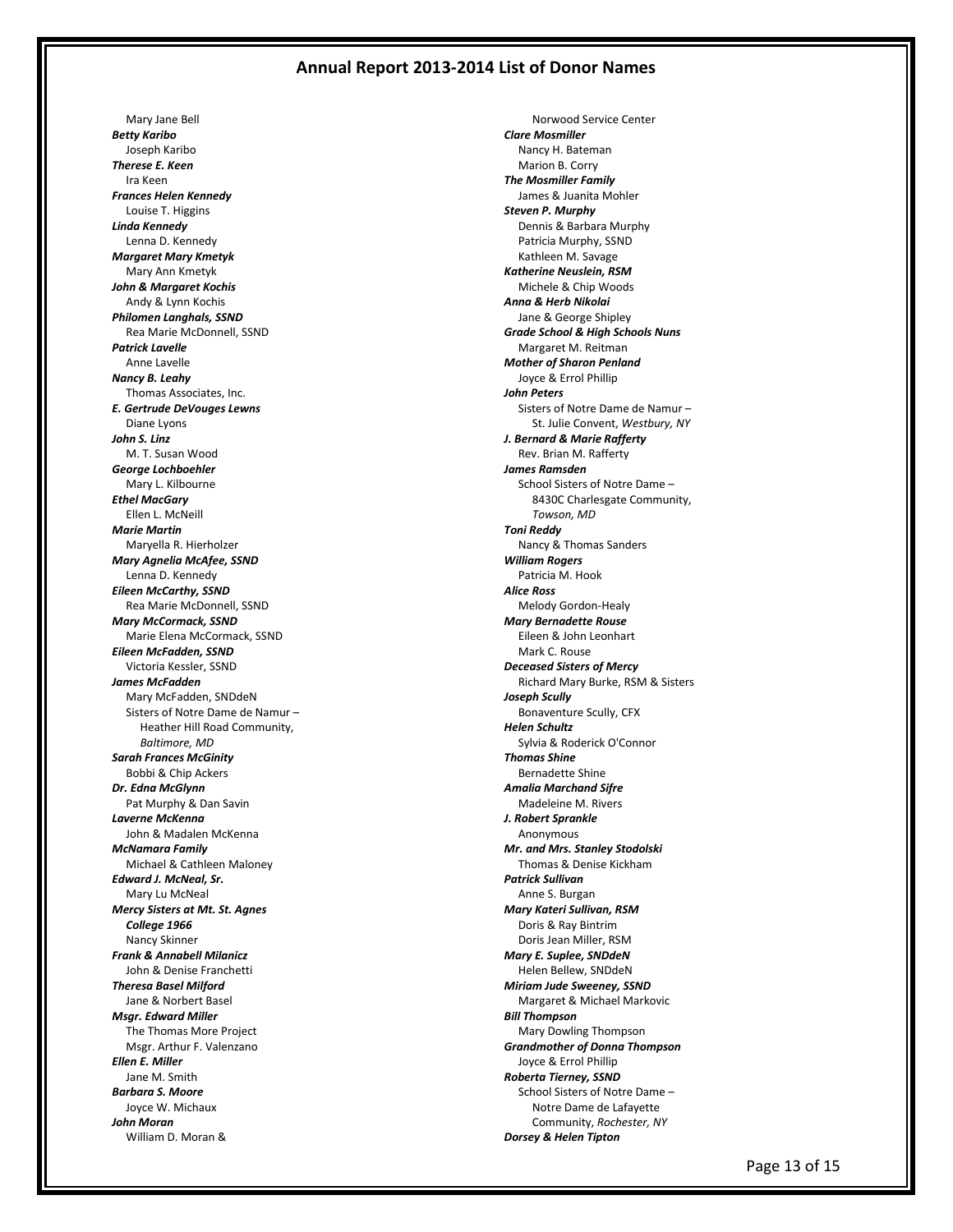Mary Jane Bell *Betty Karibo* Joseph Karibo *Therese E. Keen* Ira Keen *Frances Helen Kennedy* Louise T. Higgins *Linda Kennedy* Lenna D. Kennedy *Margaret Mary Kmetyk* Mary Ann Kmetyk *John & Margaret Kochis* Andy & Lynn Kochis *Philomen Langhals, SSND* Rea Marie McDonnell, SSND *Patrick Lavelle* Anne Lavelle *Nancy B. Leahy* Thomas Associates, Inc. *E. Gertrude DeVouges Lewns* Diane Lyons *John S. Linz* M. T. Susan Wood *George Lochboehler* Mary L. Kilbourne *Ethel MacGary* Ellen L. McNeill *Marie Martin* Maryella R. Hierholzer *Mary Agnelia McAfee, SSND* Lenna D. Kennedy *Eileen McCarthy, SSND* Rea Marie McDonnell, SSND *Mary McCormack, SSND* Marie Elena McCormack, SSND *Eileen McFadden, SSND* Victoria Kessler, SSND *James McFadden* Mary McFadden, SNDdeN Sisters of Notre Dame de Namur – Heather Hill Road Community, *Baltimore, MD Sarah Frances McGinity* Bobbi & Chip Ackers *Dr. Edna McGlynn* Pat Murphy & Dan Savin *Laverne McKenna* John & Madalen McKenna *McNamara Family* Michael & Cathleen Maloney *Edward J. McNeal, Sr.* Mary Lu McNeal *Mercy Sisters at Mt. St. Agnes College 1966* Nancy Skinner *Frank & Annabell Milanicz* John & Denise Franchetti *Theresa Basel Milford* Jane & Norbert Basel *Msgr. Edward Miller* The Thomas More Project Msgr. Arthur F. Valenzano *Ellen E. Miller* Jane M. Smith *Barbara S. Moore* Joyce W. Michaux *John Moran* William D. Moran &

 Norwood Service Center *Clare Mosmiller* Nancy H. Bateman Marion B. Corry *The Mosmiller Family* James & Juanita Mohler *Steven P. Murphy* Dennis & Barbara Murphy Patricia Murphy, SSND Kathleen M. Savage *Katherine Neuslein, RSM* Michele & Chip Woods *Anna & Herb Nikolai* Jane & George Shipley *Grade School & High Schools Nuns* Margaret M. Reitman *Mother of Sharon Penland* Joyce & Errol Phillip *John Peters* Sisters of Notre Dame de Namur – St. Julie Convent, *Westbury, NY J. Bernard & Marie Rafferty* Rev. Brian M. Rafferty *James Ramsden* School Sisters of Notre Dame – 8430C Charlesgate Community, *Towson, MD Toni Reddy* Nancy & Thomas Sanders *William Rogers* Patricia M. Hook *Alice Ross* Melody Gordon-Healy *Mary Bernadette Rouse* Eileen & John Leonhart Mark C. Rouse *Deceased Sisters of Mercy* Richard Mary Burke, RSM & Sisters *Joseph Scully* Bonaventure Scully, CFX *Helen Schultz* Sylvia & Roderick O'Connor *Thomas Shine* Bernadette Shine *Amalia Marchand Sifre* Madeleine M. Rivers *J. Robert Sprankle* Anonymous *Mr. and Mrs. Stanley Stodolski* Thomas & Denise Kickham *Patrick Sullivan* Anne S. Burgan *Mary Kateri Sullivan, RSM* Doris & Ray Bintrim Doris Jean Miller, RSM *Mary E. Suplee, SNDdeN* Helen Bellew, SNDdeN *Miriam Jude Sweeney, SSND* Margaret & Michael Markovic *Bill Thompson* Mary Dowling Thompson *Grandmother of Donna Thompson* Joyce & Errol Phillip *Roberta Tierney, SSND* School Sisters of Notre Dame – Notre Dame de Lafayette Community, *Rochester, NY Dorsey & Helen Tipton*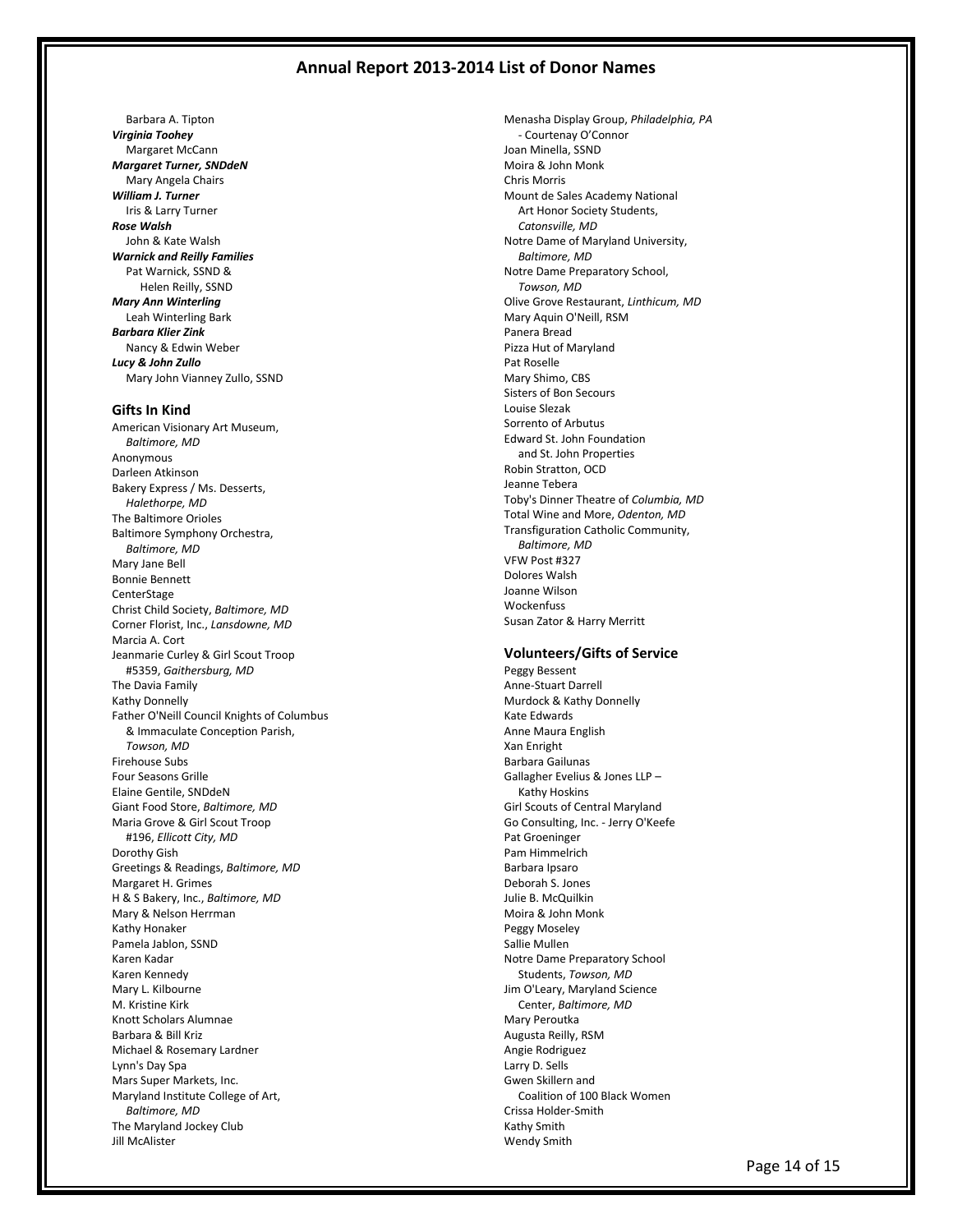Barbara A. Tipton *Virginia Toohey* Margaret McCann *Margaret Turner, SNDdeN* Mary Angela Chairs *William J. Turner* Iris & Larry Turner *Rose Walsh* John & Kate Walsh *Warnick and Reilly Families* Pat Warnick, SSND & Helen Reilly, SSND *Mary Ann Winterling* Leah Winterling Bark *Barbara Klier Zink* Nancy & Edwin Weber *Lucy & John Zullo* Mary John Vianney Zullo, SSND

#### **Gifts In Kind**

American Visionary Art Museum, *Baltimore, MD* Anonymous Darleen Atkinson Bakery Express / Ms. Desserts, *Halethorpe, MD* The Baltimore Orioles Baltimore Symphony Orchestra, *Baltimore, MD* Mary Jane Bell Bonnie Bennett **CenterStage** Christ Child Society, *Baltimore, MD* Corner Florist, Inc., *Lansdowne, MD* Marcia A. Cort Jeanmarie Curley & Girl Scout Troop #5359, *Gaithersburg, MD* The Davia Family Kathy Donnelly Father O'Neill Council Knights of Columbus & Immaculate Conception Parish, *Towson, MD* Firehouse Subs Four Seasons Grille Elaine Gentile, SNDdeN Giant Food Store, *Baltimore, MD* Maria Grove & Girl Scout Troop #196, *Ellicott City, MD* Dorothy Gish Greetings & Readings, *Baltimore, MD* Margaret H. Grimes H & S Bakery, Inc., *Baltimore, MD* Mary & Nelson Herrman Kathy Honaker Pamela Jablon, SSND Karen Kadar Karen Kennedy Mary L. Kilbourne M. Kristine Kirk Knott Scholars Alumnae Barbara & Bill Kriz Michael & Rosemary Lardner Lynn's Day Spa Mars Super Markets, Inc. Maryland Institute College of Art, *Baltimore, MD* The Maryland Jockey Club Jill McAlister

Menasha Display Group, *Philadelphia, PA* - Courtenay O'Connor Joan Minella, SSND Moira & John Monk Chris Morris Mount de Sales Academy National Art Honor Society Students, *Catonsville, MD* Notre Dame of Maryland University, *Baltimore, MD* Notre Dame Preparatory School, *Towson, MD* Olive Grove Restaurant, *Linthicum, MD* Mary Aquin O'Neill, RSM Panera Bread Pizza Hut of Maryland Pat Roselle Mary Shimo, CBS Sisters of Bon Secours Louise Slezak Sorrento of Arbutus Edward St. John Foundation and St. John Properties Robin Stratton, OCD Jeanne Tebera Toby's Dinner Theatre of *Columbia, MD* Total Wine and More, *Odenton, MD* Transfiguration Catholic Community, *Baltimore, MD* VFW Post #327 Dolores Walsh Joanne Wilson **Wockenfuss** Susan Zator & Harry Merritt

#### **Volunteers/Gifts of Service**

Peggy Bessent Anne-Stuart Darrell Murdock & Kathy Donnelly Kate Edwards Anne Maura English Xan Enright Barbara Gailunas Gallagher Evelius & Jones LLP – Kathy Hoskins Girl Scouts of Central Maryland Go Consulting, Inc. - Jerry O'Keefe Pat Groeninger Pam Himmelrich Barbara Ipsaro Deborah S. Jones Julie B. McQuilkin Moira & John Monk Peggy Moseley Sallie Mullen Notre Dame Preparatory School Students, *Towson, MD* Jim O'Leary, Maryland Science Center, *Baltimore, MD* Mary Peroutka Augusta Reilly, RSM Angie Rodriguez Larry D. Sells Gwen Skillern and Coalition of 100 Black Women Crissa Holder-Smith Kathy Smith Wendy Smith